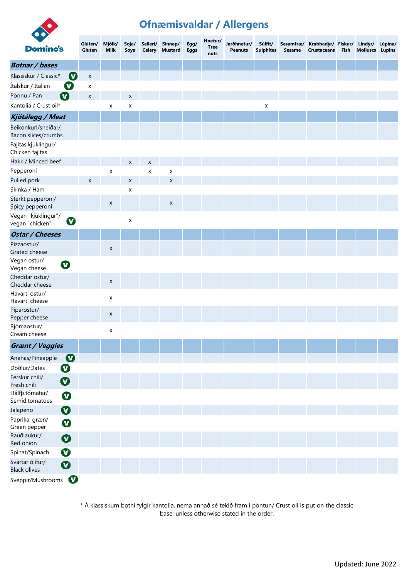

## **Ofnæmisvaldar / Allergens**

| <b>Domino's</b>                                                 | Glúten/<br>Gluten  | Mjólk/<br><b>Milk</b> | Soja/<br>Soya  |                | Sellerí/ Sinnep/<br>Celery Mustard | Egg/<br>Eggs | Hnetur/<br><b>Tree</b><br>nuts | Jarðhnetur/<br><b>Peanuts</b> | Súlfít/<br><b>Sulphites</b> | Sesame | Sesamfræ/ Krabbadýr/ Fiskur/ Lindýr/ Lúpína/<br><b>Crustaceans</b> | Fish | <b>Molluscs Lupins</b> |  |
|-----------------------------------------------------------------|--------------------|-----------------------|----------------|----------------|------------------------------------|--------------|--------------------------------|-------------------------------|-----------------------------|--------|--------------------------------------------------------------------|------|------------------------|--|
| <b>Botnar / bases</b>                                           |                    |                       |                |                |                                    |              |                                |                               |                             |        |                                                                    |      |                        |  |
| $\boldsymbol{\mathcal{O}}$<br>Klassískur / Classic*             | X                  |                       |                |                |                                    |              |                                |                               |                             |        |                                                                    |      |                        |  |
| Ø<br>Ítalskur / Italian                                         | X                  |                       |                |                |                                    |              |                                |                               |                             |        |                                                                    |      |                        |  |
| $\boldsymbol{\Omega}$<br>Pönnu / Pan                            | $\pmb{\mathsf{X}}$ |                       | $\pmb{\times}$ |                |                                    |              |                                |                               |                             |        |                                                                    |      |                        |  |
| Kantolía / Crust oil*                                           |                    | $\pmb{\mathsf{X}}$    | X              |                |                                    |              |                                |                               | $\pmb{\mathsf{X}}$          |        |                                                                    |      |                        |  |
| Kjötálegg / Meat                                                |                    |                       |                |                |                                    |              |                                |                               |                             |        |                                                                    |      |                        |  |
| Beikonkurl/sneiðar/<br>Bacon slices/crumbs                      |                    |                       |                |                |                                    |              |                                |                               |                             |        |                                                                    |      |                        |  |
| Fajitas kjúklingur/<br>Chicken fajitas                          |                    |                       |                |                |                                    |              |                                |                               |                             |        |                                                                    |      |                        |  |
| Hakk / Minced beef                                              |                    |                       | X              | X              |                                    |              |                                |                               |                             |        |                                                                    |      |                        |  |
| Pepperoni                                                       |                    | $\pmb{\mathsf{X}}$    |                | $\pmb{\times}$ | X                                  |              |                                |                               |                             |        |                                                                    |      |                        |  |
| Pulled pork                                                     | X                  |                       | X              |                | $\pmb{\times}$                     |              |                                |                               |                             |        |                                                                    |      |                        |  |
| Skinka / Ham                                                    |                    |                       | x              |                |                                    |              |                                |                               |                             |        |                                                                    |      |                        |  |
| Sterkt pepperoni/<br>Spicy pepperoni                            |                    | X                     |                |                | X                                  |              |                                |                               |                             |        |                                                                    |      |                        |  |
| Vegan "kjúklingur"/<br>$\boldsymbol{\sigma}$<br>vegan "chicken" |                    |                       | X              |                |                                    |              |                                |                               |                             |        |                                                                    |      |                        |  |
| <b>Ostar / Cheeses</b>                                          |                    |                       |                |                |                                    |              |                                |                               |                             |        |                                                                    |      |                        |  |
| Pizzaostur/<br>Grated cheese                                    |                    | X                     |                |                |                                    |              |                                |                               |                             |        |                                                                    |      |                        |  |
| Vegan ostur/<br>$\boldsymbol{\Omega}$<br>Vegan cheese           |                    |                       |                |                |                                    |              |                                |                               |                             |        |                                                                    |      |                        |  |
| Cheddar ostur/<br>Cheddar cheese                                |                    | X                     |                |                |                                    |              |                                |                               |                             |        |                                                                    |      |                        |  |
| Havarti ostur/<br>Havarti cheese                                |                    | X                     |                |                |                                    |              |                                |                               |                             |        |                                                                    |      |                        |  |
| Piparostur/<br>Pepper cheese                                    |                    | X                     |                |                |                                    |              |                                |                               |                             |        |                                                                    |      |                        |  |
| Rjómaostur/<br>Cream cheese                                     |                    | X                     |                |                |                                    |              |                                |                               |                             |        |                                                                    |      |                        |  |
| Grænt / Veggies                                                 |                    |                       |                |                |                                    |              |                                |                               |                             |        |                                                                    |      |                        |  |
| $\boldsymbol{O}$<br>Ananas/Pineapple                            |                    |                       |                |                |                                    |              |                                |                               |                             |        |                                                                    |      |                        |  |
| $\boldsymbol{\Omega}$<br>Döðlur/Dates                           |                    |                       |                |                |                                    |              |                                |                               |                             |        |                                                                    |      |                        |  |
| Ferskur chili/<br>$\boldsymbol{\Omega}$<br>Fresh chili          |                    |                       |                |                |                                    |              |                                |                               |                             |        |                                                                    |      |                        |  |
| Hálfþ.tómatar/<br>$\boldsymbol{\Omega}$<br>Semid.tomatoes       |                    |                       |                |                |                                    |              |                                |                               |                             |        |                                                                    |      |                        |  |
| $\boldsymbol{\Omega}$<br>Jalapeno                               |                    |                       |                |                |                                    |              |                                |                               |                             |        |                                                                    |      |                        |  |
| Paprika, græn/<br>$\boldsymbol{\Omega}$<br>Green pepper         |                    |                       |                |                |                                    |              |                                |                               |                             |        |                                                                    |      |                        |  |
| Rauðlaukur/<br>$\boldsymbol{\Omega}$<br>Red onion               |                    |                       |                |                |                                    |              |                                |                               |                             |        |                                                                    |      |                        |  |
| $\mathbf O$<br>Spínat/Spinach                                   |                    |                       |                |                |                                    |              |                                |                               |                             |        |                                                                    |      |                        |  |
| Svartar ólífur/<br>$\boldsymbol{\Omega}$<br><b>Black olives</b> |                    |                       |                |                |                                    |              |                                |                               |                             |        |                                                                    |      |                        |  |
| $\boldsymbol{\Omega}$<br>Sveppir/Mushrooms                      |                    |                       |                |                |                                    |              |                                |                               |                             |        |                                                                    |      |                        |  |

\* Á klassískum botni fylgir kantolía, nema annað sé tekið fram í pöntun/ Crust oil is put on the classic base, unless otherwise stated in the order.